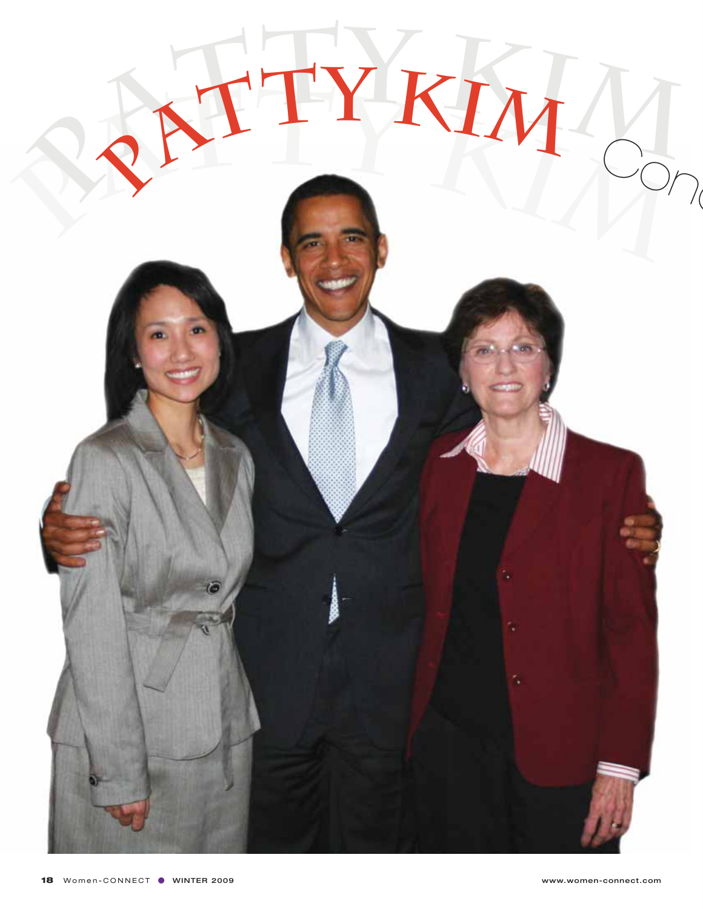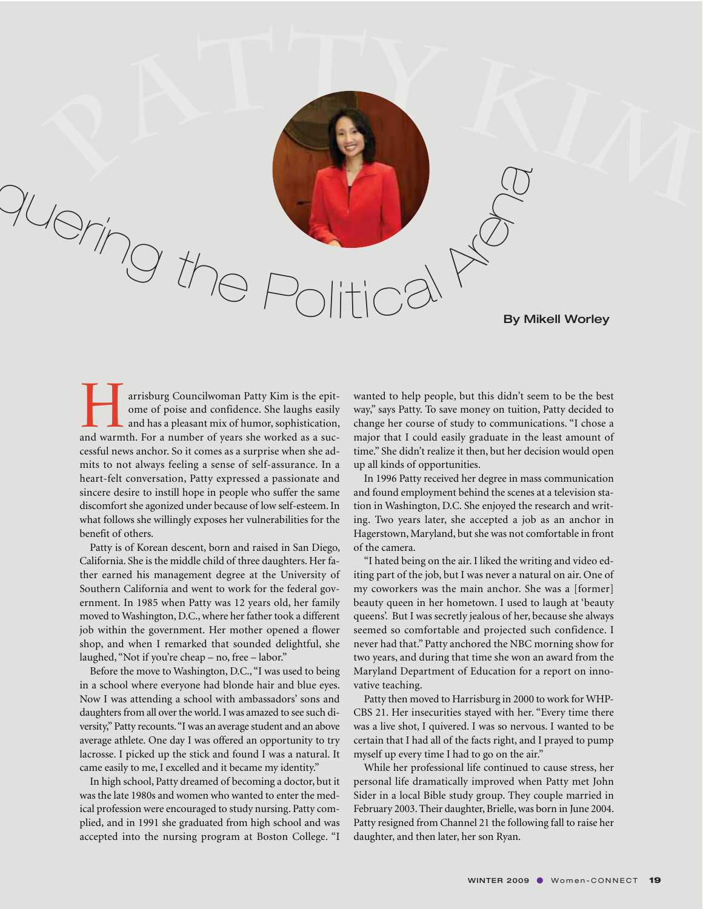

arrisburg Councilwoman Patty Kim is the epitome of poise and confidence. She laughs easily and has a pleasant mix of humor, sophistication, and warmth. For a number of years she worked as a successful news anchor. So it comes as a surprise when she admits to not always feeling a sense of self-assurance. In a heart-felt conversation, Patty expressed a passionate and sincere desire to instill hope in people who suffer the same discomfort she agonized under because of low self-esteem. In what follows she willingly exposes her vulnerabilities for the benefit of others.

Patty is of Korean descent, born and raised in San Diego, California. She is the middle child of three daughters. Her father earned his management degree at the University of Southern California and went to work for the federal government. In 1985 when Patty was 12 years old, her family moved to Washington, D.C., where her father took a different job within the government. Her mother opened a flower shop, and when I remarked that sounded delightful, she laughed, "Not if you're cheap – no, free – labor."

Before the move to Washington, D.C., "I was used to being in a school where everyone had blonde hair and blue eyes. Now I was attending a school with ambassadors' sons and daughters from all over the world. I was amazed to see such diversity," Patty recounts. "I was an average student and an above average athlete. One day I was offered an opportunity to try lacrosse. I picked up the stick and found I was a natural. It came easily to me, I excelled and it became my identity."

In high school, Patty dreamed of becoming a doctor, but it was the late 1980s and women who wanted to enter the medical profession were encouraged to study nursing. Patty complied, and in 1991 she graduated from high school and was accepted into the nursing program at Boston College. "I

wanted to help people, but this didn't seem to be the best way," says Patty. To save money on tuition, Patty decided to change her course of study to communications. "I chose a major that I could easily graduate in the least amount of time." She didn't realize it then, but her decision would open up all kinds of opportunities.

In 1996 Patty received her degree in mass communication and found employment behind the scenes at a television station in Washington, D.C. She enjoyed the research and writing. Two years later, she accepted a job as an anchor in Hagerstown, Maryland, but she was not comfortable in front of the camera.

"I hated being on the air. I liked the writing and video editing part of the job, but I was never a natural on air. One of my coworkers was the main anchor. She was a [former] beauty queen in her hometown. I used to laugh at 'beauty queens'. But I was secretly jealous of her, because she always seemed so comfortable and projected such confidence. I never had that." Patty anchored the NBC morning show for two years, and during that time she won an award from the Maryland Department of Education for a report on innovative teaching.

Patty then moved to Harrisburg in 2000 to work for WHP-CBS 21. Her insecurities stayed with her. "Every time there was a live shot, I quivered. I was so nervous. I wanted to be certain that I had all of the facts right, and I prayed to pump myself up every time I had to go on the air."

While her professional life continued to cause stress, her personal life dramatically improved when Patty met John Sider in a local Bible study group. They couple married in February 2003. Their daughter, Brielle, was born in June 2004. Patty resigned from Channel 21 the following fall to raise her daughter, and then later, her son Ryan.